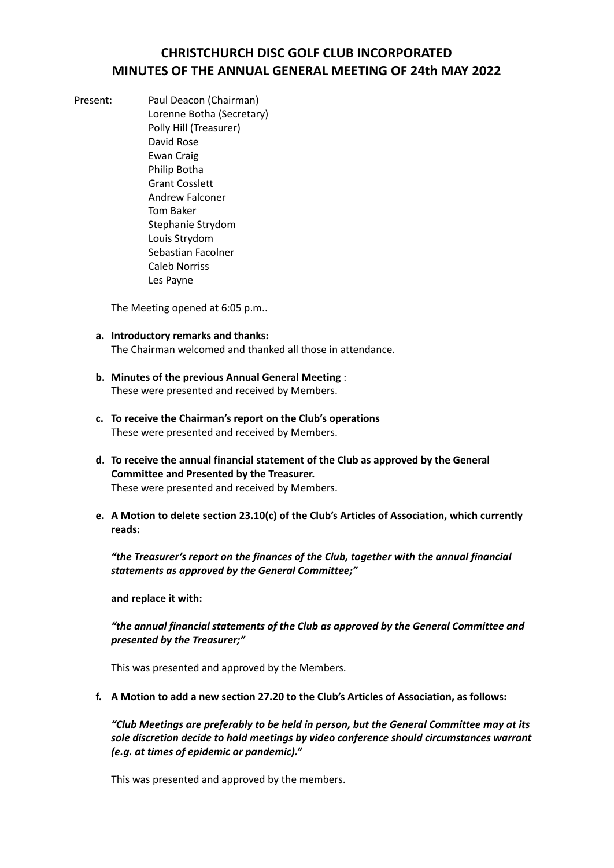# **CHRISTCHURCH DISC GOLF CLUB INCORPORATED MINUTES OF THE ANNUAL GENERAL MEETING OF 24th MAY 2022**

- 
- Present: Paul Deacon (Chairman) Lorenne Botha (Secretary) Polly Hill (Treasurer) David Rose Ewan Craig Philip Botha Grant Cosslett Andrew Falconer Tom Baker Stephanie Strydom Louis Strydom Sebastian Facolner Caleb Norriss Les Payne

The Meeting opened at 6:05 p.m..

- **a. Introductory remarks and thanks:** The Chairman welcomed and thanked all those in attendance.
- **b. Minutes of the previous Annual General Meeting** : These were presented and received by Members.
- **c. To receive the Chairman's report on the Club's operations** These were presented and received by Members.
- **d. To receive the annual financial statement of the Club as approved by the General Committee and Presented by the Treasurer.** These were presented and received by Members.
- **e. A Motion to delete section 23.10(c) of the Club's Articles of Association, which currently reads:**

*"the Treasurer's report on the finances of the Club, together with the annual financial statements as approved by the General Committee;"*

**and replace it with:**

#### *"the annual financial statements of the Club as approved by the General Committee and presented by the Treasurer;"*

This was presented and approved by the Members.

**f. A Motion to add a new section 27.20 to the Club's Articles of Association, as follows:**

*"Club Meetings are preferably to be held in person, but the General Committee may at its sole discretion decide to hold meetings by video conference should circumstances warrant (e.g. at times of epidemic or pandemic)."*

This was presented and approved by the members.